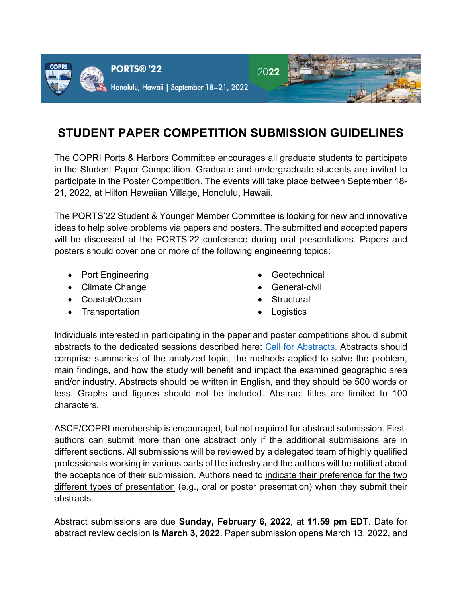

# **STUDENT PAPER COMPETITION SUBMISSION GUIDELINES**

The COPRI Ports & Harbors Committee encourages all graduate students to participate in the Student Paper Competition. Graduate and undergraduate students are invited to participate in the Poster Competition. The events will take place between September 18- 21, 2022, at Hilton Hawaiian Village, Honolulu, Hawaii.

The PORTS'22 Student & Younger Member Committee is looking for new and innovative ideas to help solve problems via papers and posters. The submitted and accepted papers will be discussed at the PORTS'22 conference during oral presentations. Papers and posters should cover one or more of the following engineering topics:

- Port Engineering
- Climate Change
- Coastal/Ocean
- Transportation
- **Geotechnical**
- General-civil
- **Structural**
- **Logistics**

Individuals interested in participating in the paper and poster competitions should submit abstracts to the dedicated sessions described here: [Call for Abstracts.](https://www.portsconference.org/program/student-younger-member-programs) Abstracts should comprise summaries of the analyzed topic, the methods applied to solve the problem, main findings, and how the study will benefit and impact the examined geographic area and/or industry. Abstracts should be written in English, and they should be 500 words or less. Graphs and figures should not be included. Abstract titles are limited to 100 characters.

ASCE/COPRI membership is encouraged, but not required for abstract submission. Firstauthors can submit more than one abstract only if the additional submissions are in different sections. All submissions will be reviewed by a delegated team of highly qualified professionals working in various parts of the industry and the authors will be notified about the acceptance of their submission. Authors need to indicate their preference for the two different types of presentation (e.g., oral or poster presentation) when they submit their abstracts.

Abstract submissions are due **Sunday, February 6, 2022**, at **11.59 pm EDT**. Date for abstract review decision is **March 3, 2022**. Paper submission opens March 13, 2022, and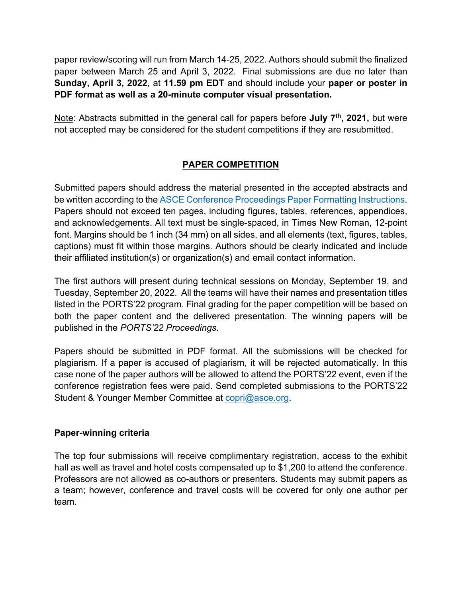paper review/scoring will run from March 14-25, 2022. Authors should submit the finalized paper between March 25 and April 3, 2022. Final submissions are due no later than **Sunday, April 3, 2022**, at **11.59 pm EDT** and should include your **paper or poster in PDF format as well as a 20-minute computer visual presentation.**

Note: Abstracts submitted in the general call for papers before **July 7th, 2021,** but were not accepted may be considered for the student competitions if they are resubmitted.

## **PAPER COMPETITION**

Submitted papers should address the material presented in the accepted abstracts and be written according to the [ASCE Conference Proceedings Paper Formatting Instructions.](chrome-extension://ieepebpjnkhaiioojkepfniodjmjjihl/data/pdf.js/web/viewer.html?file=https%3A%2F%2Fwww.asce-ictd.org%2Fsites%2Fasce-ictd.org%2F2020%2Ffiles%2Finline-files%2Fasce-conference-paper-formatting-instructions.pdf) Papers should not exceed ten pages, including figures, tables, references, appendices, and acknowledgements. All text must be single-spaced, in Times New Roman, 12-point font. Margins should be 1 inch (34 mm) on all sides, and all elements (text, figures, tables, captions) must fit within those margins. Authors should be clearly indicated and include their affiliated institution(s) or organization(s) and email contact information.

The first authors will present during technical sessions on Monday, September 19, and Tuesday, September 20, 2022. All the teams will have their names and presentation titles listed in the PORTS'22 program. Final grading for the paper competition will be based on both the paper content and the delivered presentation. The winning papers will be published in the *PORTS'22 Proceedings*.

Papers should be submitted in PDF format. All the submissions will be checked for plagiarism. If a paper is accused of plagiarism, it will be rejected automatically. In this case none of the paper authors will be allowed to attend the PORTS'22 event, even if the conference registration fees were paid. Send completed submissions to the PORTS'22 Student & Younger Member Committee at [copri@asce.org.](mailto:copri@asce.org)

### **Paper-winning criteria**

The top four submissions will receive complimentary registration, access to the exhibit hall as well as travel and hotel costs compensated up to \$1,200 to attend the conference. Professors are not allowed as co-authors or presenters. Students may submit papers as a team; however, conference and travel costs will be covered for only one author per team.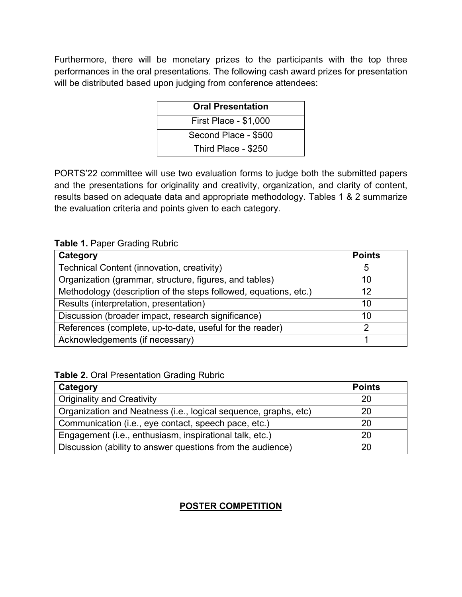Furthermore, there will be monetary prizes to the participants with the top three performances in the oral presentations. The following cash award prizes for presentation will be distributed based upon judging from conference attendees:

| <b>Oral Presentation</b>     |
|------------------------------|
| <b>First Place - \$1,000</b> |
| Second Place - \$500         |
| Third Place - \$250          |

PORTS'22 committee will use two evaluation forms to judge both the submitted papers and the presentations for originality and creativity, organization, and clarity of content, results based on adequate data and appropriate methodology. Tables 1 & 2 summarize the evaluation criteria and points given to each category.

**Table 1.** Paper Grading Rubric

| Category                                                         | <b>Points</b> |
|------------------------------------------------------------------|---------------|
| Technical Content (innovation, creativity)                       | 5             |
| Organization (grammar, structure, figures, and tables)           | 10            |
| Methodology (description of the steps followed, equations, etc.) | 12            |
| Results (interpretation, presentation)                           | 10            |
| Discussion (broader impact, research significance)               | 10            |
| References (complete, up-to-date, useful for the reader)         |               |
| Acknowledgements (if necessary)                                  |               |

**Table 2.** Oral Presentation Grading Rubric

| Category                                                        | <b>Points</b> |
|-----------------------------------------------------------------|---------------|
| <b>Originality and Creativity</b>                               | 20            |
| Organization and Neatness (i.e., logical sequence, graphs, etc) | 20            |
| Communication (i.e., eye contact, speech pace, etc.)            | 20            |
| Engagement (i.e., enthusiasm, inspirational talk, etc.)         | 20            |
| Discussion (ability to answer questions from the audience)      | 20            |

## **POSTER COMPETITION**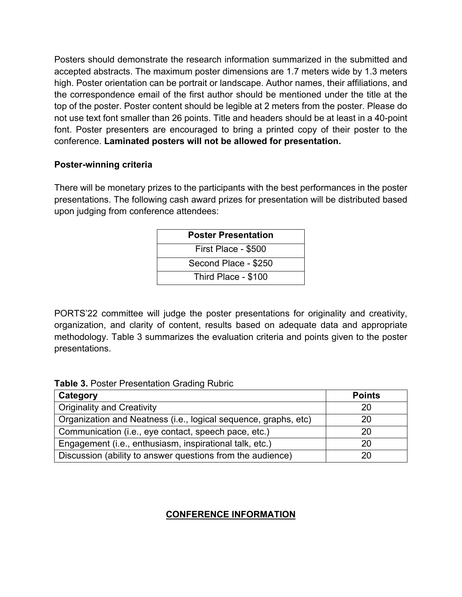Posters should demonstrate the research information summarized in the submitted and accepted abstracts. The maximum poster dimensions are 1.7 meters wide by 1.3 meters high. Poster orientation can be portrait or landscape. Author names, their affiliations, and the correspondence email of the first author should be mentioned under the title at the top of the poster. Poster content should be legible at 2 meters from the poster. Please do not use text font smaller than 26 points. Title and headers should be at least in a 40-point font. Poster presenters are encouraged to bring a printed copy of their poster to the conference. **Laminated posters will not be allowed for presentation.** 

#### **Poster-winning criteria**

There will be monetary prizes to the participants with the best performances in the poster presentations. The following cash award prizes for presentation will be distributed based upon judging from conference attendees:

| <b>Poster Presentation</b> |
|----------------------------|
| First Place - \$500        |
| Second Place - \$250       |
| Third Place - \$100        |

PORTS'22 committee will judge the poster presentations for originality and creativity, organization, and clarity of content, results based on adequate data and appropriate methodology. Table 3 summarizes the evaluation criteria and points given to the poster presentations.

| <b>Table 3. Poster Presentation Grading Rubric</b> |  |
|----------------------------------------------------|--|
|----------------------------------------------------|--|

| Category                                                        | <b>Points</b> |
|-----------------------------------------------------------------|---------------|
| <b>Originality and Creativity</b>                               | 20            |
| Organization and Neatness (i.e., logical sequence, graphs, etc) | 20            |
| Communication (i.e., eye contact, speech pace, etc.)            | 20            |
| Engagement (i.e., enthusiasm, inspirational talk, etc.)         | 20            |
| Discussion (ability to answer questions from the audience)      | 20            |

## **CONFERENCE INFORMATION**